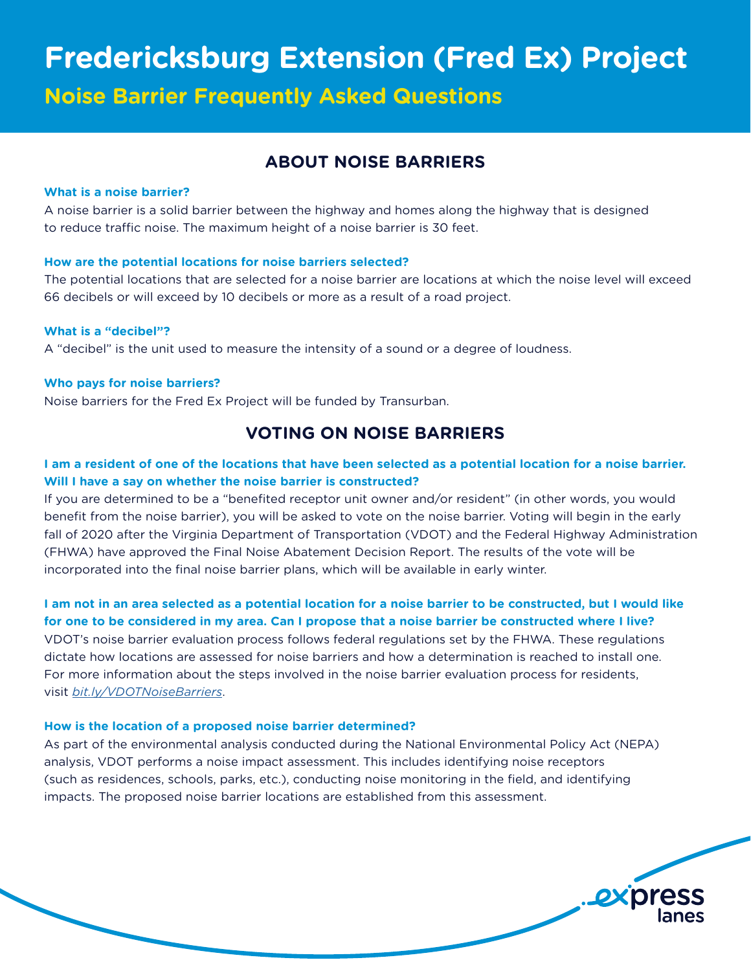**Noise Barrier Frequently Asked Questions**

# **ABOUT NOISE BARRIERS**

## **What is a noise barrier?**

A noise barrier is a solid barrier between the highway and homes along the highway that is designed to reduce traffic noise. The maximum height of a noise barrier is 30 feet.

## **How are the potential locations for noise barriers selected?**

The potential locations that are selected for a noise barrier are locations at which the noise level will exceed 66 decibels or will exceed by 10 decibels or more as a result of a road project.

## **What is a "decibel"?**

A "decibel" is the unit used to measure the intensity of a sound or a degree of loudness.

## **Who pays for noise barriers?**

Noise barriers for the Fred Ex Project will be funded by Transurban.

# **VOTING ON NOISE BARRIERS**

## **I am a resident of one of the locations that have been selected as a potential location for a noise barrier. Will I have a say on whether the noise barrier is constructed?**

If you are determined to be a "benefited receptor unit owner and/or resident" (in other words, you would benefit from the noise barrier), you will be asked to vote on the noise barrier. Voting will begin in the early fall of 2020 after the Virginia Department of Transportation (VDOT) and the Federal Highway Administration (FHWA) have approved the Final Noise Abatement Decision Report. The results of the vote will be incorporated into the final noise barrier plans, which will be available in early winter.

## **I am not in an area selected as a potential location for a noise barrier to be constructed, but I would like for one to be considered in my area. Can I propose that a noise barrier be constructed where I live?**

VDOT's noise barrier evaluation process follows federal regulations set by the FHWA. These regulations dictate how locations are assessed for noise barriers and how a determination is reached to install one. For more information about the steps involved in the noise barrier evaluation process for residents, visit *[bit.ly/VDOTNoiseBarriers](http://bit.ly/VDOTNoiseBarriers)*.

## **How is the location of a proposed noise barrier determined?**

As part of the environmental analysis conducted during the National Environmental Policy Act (NEPA) analysis, VDOT performs a noise impact assessment. This includes identifying noise receptors (such as residences, schools, parks, etc.), conducting noise monitoring in the field, and identifying impacts. The proposed noise barrier locations are established from this assessment.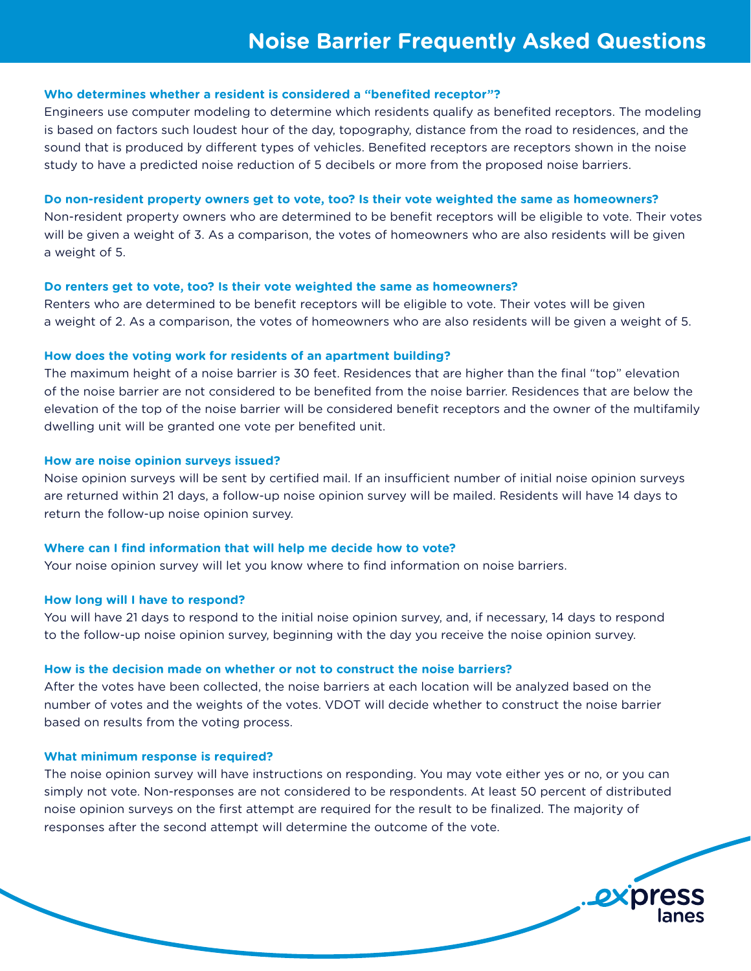## **Who determines whether a resident is considered a "benefited receptor"?**

Engineers use computer modeling to determine which residents qualify as benefited receptors. The modeling is based on factors such loudest hour of the day, topography, distance from the road to residences, and the sound that is produced by different types of vehicles. Benefited receptors are receptors shown in the noise study to have a predicted noise reduction of 5 decibels or more from the proposed noise barriers.

#### **Do non-resident property owners get to vote, too? Is their vote weighted the same as homeowners?**

Non-resident property owners who are determined to be benefit receptors will be eligible to vote. Their votes will be given a weight of 3. As a comparison, the votes of homeowners who are also residents will be given a weight of 5.

#### **Do renters get to vote, too? Is their vote weighted the same as homeowners?**

Renters who are determined to be benefit receptors will be eligible to vote. Their votes will be given a weight of 2. As a comparison, the votes of homeowners who are also residents will be given a weight of 5.

#### **How does the voting work for residents of an apartment building?**

The maximum height of a noise barrier is 30 feet. Residences that are higher than the final "top" elevation of the noise barrier are not considered to be benefited from the noise barrier. Residences that are below the elevation of the top of the noise barrier will be considered benefit receptors and the owner of the multifamily dwelling unit will be granted one vote per benefited unit.

## **How are noise opinion surveys issued?**

Noise opinion surveys will be sent by certified mail. If an insufficient number of initial noise opinion surveys are returned within 21 days, a follow-up noise opinion survey will be mailed. Residents will have 14 days to return the follow-up noise opinion survey.

#### **Where can I find information that will help me decide how to vote?**

Your noise opinion survey will let you know where to find information on noise barriers.

## **How long will I have to respond?**

You will have 21 days to respond to the initial noise opinion survey, and, if necessary, 14 days to respond to the follow-up noise opinion survey, beginning with the day you receive the noise opinion survey.

#### **How is the decision made on whether or not to construct the noise barriers?**

After the votes have been collected, the noise barriers at each location will be analyzed based on the number of votes and the weights of the votes. VDOT will decide whether to construct the noise barrier based on results from the voting process.

#### **What minimum response is required?**

The noise opinion survey will have instructions on responding. You may vote either yes or no, or you can simply not vote. Non-responses are not considered to be respondents. At least 50 percent of distributed noise opinion surveys on the first attempt are required for the result to be finalized. The majority of responses after the second attempt will determine the outcome of the vote.